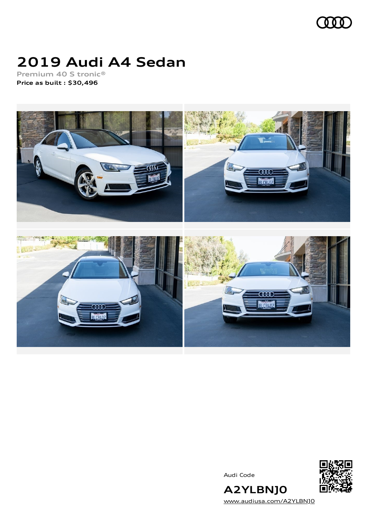

# **2019 Audi A4 Sedan**

**Premium 40 S tronic® Price as built [:](#page-10-0) \$30,496**



Audi Code



[www.audiusa.com/A2YLBNJ0](https://www.audiusa.com/A2YLBNJ0)

**A2YLBNJ0**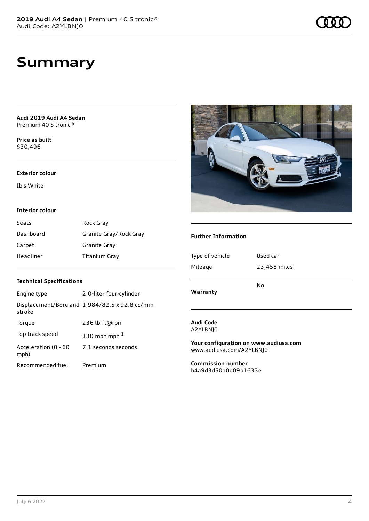**Audi 2019 Audi A4 Sedan** Premium 40 S tronic®

**Price as buil[t](#page-10-0)** \$30,496

#### **Exterior colour**

Ibis White

#### **Interior colour**

| Seats     | Rock Gray              |
|-----------|------------------------|
| Dashboard | Granite Gray/Rock Gray |
| Carpet    | Granite Gray           |
| Headliner | Titanium Gray          |

### **Technical Specifications**

| Engine type                  | 2.0-liter four-cylinder                       |
|------------------------------|-----------------------------------------------|
| stroke                       | Displacement/Bore and 1,984/82.5 x 92.8 cc/mm |
| Torque                       | 236 lb-ft@rpm                                 |
| Top track speed              | 130 mph mph $1$                               |
| Acceleration (0 - 60<br>mph) | 7.1 seconds seconds                           |
| Recommended fuel             | Premium                                       |



#### **Further Information**

| Type of vehicle<br>Mileage | Used car<br>23,458 miles |  |
|----------------------------|--------------------------|--|
| Warranty                   | No                       |  |
| Audi Code                  |                          |  |

A2YLBNJ0

**Your configuration on www.audiusa.com** [www.audiusa.com/A2YLBNJ0](https://www.audiusa.com/A2YLBNJ0)

**Commission number** b4a9d3d50a0e09b1633e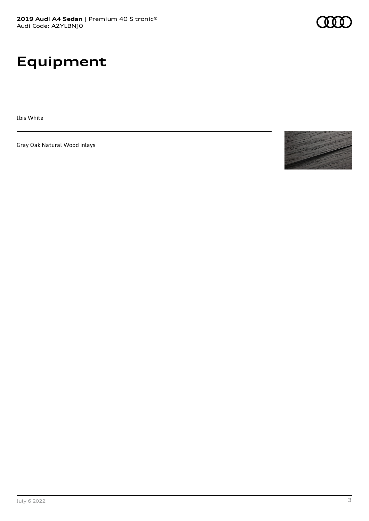# **Equipment**

Ibis White

Gray Oak Natural Wood inlays

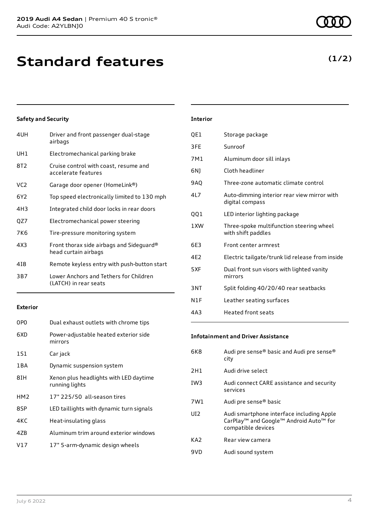**Standard features**

### **Safety and Security**

| 4UH | Driver and front passenger dual-stage<br>airbags                 |
|-----|------------------------------------------------------------------|
| UH1 | Electromechanical parking brake                                  |
| 8T2 | Cruise control with coast, resume and<br>accelerate features     |
| VC2 | Garage door opener (HomeLink®)                                   |
| 6Y2 | Top speed electronically limited to 130 mph                      |
| 4H3 | Integrated child door locks in rear doors                        |
| QZ7 | Electromechanical power steering                                 |
| 7K6 | Tire-pressure monitoring system                                  |
| 4X3 | Front thorax side airbags and Sideguard®<br>head curtain airbags |
| 418 | Remote keyless entry with push-button start                      |
| 3B7 | Lower Anchors and Tethers for Children<br>(LATCH) in rear seats  |
|     |                                                                  |

#### **Exterior**

| 0P <sub>0</sub> | Dual exhaust outlets with chrome tips                    |
|-----------------|----------------------------------------------------------|
| 6XD             | Power-adjustable heated exterior side<br>mirrors         |
| 1S1             | Car jack                                                 |
| 1 B A           | Dynamic suspension system                                |
| 8IH             | Xenon plus headlights with LED daytime<br>running lights |
| HM <sub>2</sub> | 17" 225/50 all-season tires                              |
| 8SP             | LED taillights with dynamic turn signals                 |
| 4KC             | Heat-insulating glass                                    |
| 47B             | Aluminum trim around exterior windows                    |
| V17             | 17" 5-arm-dynamic design wheels                          |
|                 |                                                          |

### **Interior**

| QE1        | Storage package                                                |
|------------|----------------------------------------------------------------|
| 3FE        | Sunroof                                                        |
| 7M1        | Aluminum door sill inlays                                      |
| 6N)        | Cloth headliner                                                |
| <b>9AO</b> | Three-zone automatic climate control                           |
| 4L7        | Auto-dimming interior rear view mirror with<br>digital compass |
| QQ1        | LED interior lighting package                                  |
| 1XW        | Three-spoke multifunction steering wheel<br>with shift paddles |
| 6E3        | Front center armrest                                           |
| 4F2        | Electric tailgate/trunk lid release from inside                |
| 5XF        | Dual front sun visors with lighted vanity<br>mirrors           |
| 3NT        | Split folding 40/20/40 rear seatbacks                          |
| N1F        | Leather seating surfaces                                       |
| 4A3        | <b>Heated front seats</b>                                      |

#### **Infotainment and Driver Assistance**

| 6K8             | Audi pre sense® basic and Audi pre sense®<br>city                                                                                 |
|-----------------|-----------------------------------------------------------------------------------------------------------------------------------|
| 2H1             | Audi drive select                                                                                                                 |
| IW <sub>3</sub> | Audi connect CARE assistance and security<br>services                                                                             |
| 7W1             | Audi pre sense® basic                                                                                                             |
| UD <sub>2</sub> | Audi smartphone interface including Apple<br>CarPlay <sup>™</sup> and Google™ Android Auto <sup>™</sup> for<br>compatible devices |
| KA <sub>2</sub> | Rear view camera                                                                                                                  |
| 9VD             | Audi sound system                                                                                                                 |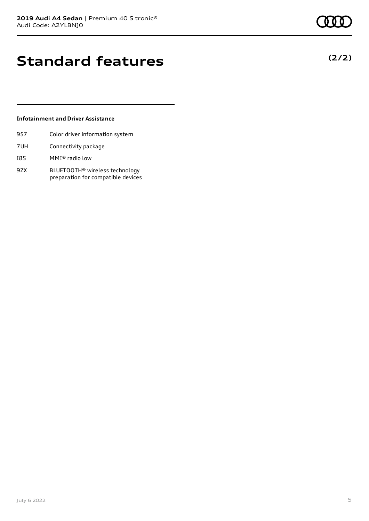# **Standard features**

#### **Infotainment and Driver Assistance**

- 9S7 Color driver information system
- 7UH Connectivity package
- I8S MMI® radio low
- 9ZX BLUETOOTH® wireless technology preparation for compatible devices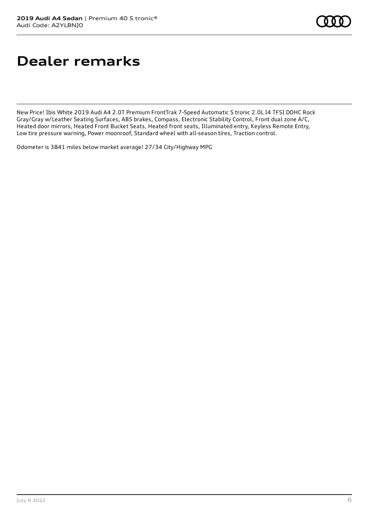# **Dealer remarks**

New Price! Ibis White 2019 Audi A4 2.0T Premium FrontTrak 7-Speed Automatic S tronic 2.0L I4 TFSI DOHC Rock Gray/Gray w/Leather Seating Surfaces, ABS brakes, Compass, Electronic Stability Control, Front dual zone A/C, Heated door mirrors, Heated Front Bucket Seats, Heated front seats, Illuminated entry, Keyless Remote Entry, Low tire pressure warning, Power moonroof, Standard wheel with all-season tires, Traction control.

Odometer is 3841 miles below market average! 27/34 City/Highway MPG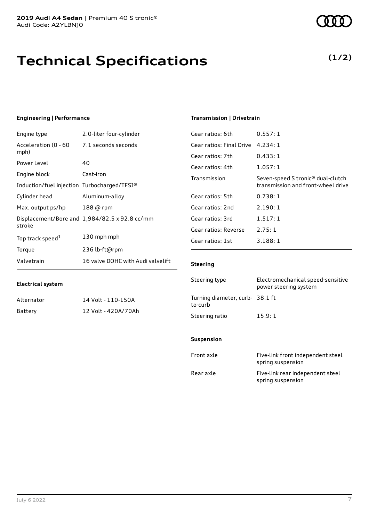# **Technical Specifications**

#### **Engineering | Performance**

**Electrical system**

| Engine type                                 | 2.0-liter four-cylinder                       |
|---------------------------------------------|-----------------------------------------------|
| Acceleration (0 - 60<br>mph)                | 7.1 seconds seconds                           |
| Power Level                                 | 40                                            |
| Engine block                                | Cast-iron                                     |
| Induction/fuel injection Turbocharged/TFSI® |                                               |
| Cylinder head                               | Aluminum-alloy                                |
| Max. output ps/hp                           | 188 @ rpm                                     |
| stroke                                      | Displacement/Bore and 1,984/82.5 x 92.8 cc/mm |
| Top track speed <sup>1</sup>                | 130 mph mph                                   |
| Torque                                      | 236 lb-ft@rpm                                 |
| Valvetrain                                  | 16 valve DOHC with Audi valvelift             |

Alternator 14 Volt - 110-150A Battery 12 Volt - 420A/70Ah

#### **Transmission | Drivetrain**

| 0.557:1                                                                 |
|-------------------------------------------------------------------------|
| 4.234:1                                                                 |
| 0.433:1                                                                 |
| 1.057:1                                                                 |
| Seven-speed S tronic® dual-clutch<br>transmission and front-wheel drive |
| 0.738:1                                                                 |
| 2.190:1                                                                 |
| 1.517:1                                                                 |
| 2.75:1                                                                  |
| 3.188:1                                                                 |
|                                                                         |

#### **Steering**

| Steering type                             | Electromechanical speed-sensitive<br>power steering system |
|-------------------------------------------|------------------------------------------------------------|
| Turning diameter, curb-38.1 ft<br>to-curb |                                                            |
| Steering ratio                            | 15.9:1                                                     |

#### **Suspension**

| Front axle | Five-link front independent steel<br>spring suspension |
|------------|--------------------------------------------------------|
| Rear axle  | Five-link rear independent steel<br>spring suspension  |

# **(1/2)**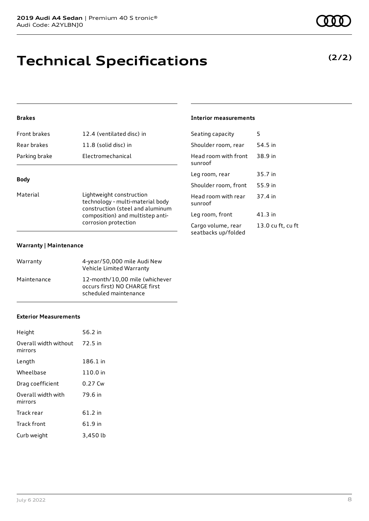# **Technical Specifications**

### **Brakes**

| Front brakes  | 12.4 (ventilated disc) in |
|---------------|---------------------------|
| Rear brakes   | 11.8 (solid disc) in      |
| Parking brake | Electromechanical         |
|               |                           |

### **Body**

| Material | Lightweight construction                                                                     |
|----------|----------------------------------------------------------------------------------------------|
|          | technology - multi-material body                                                             |
|          | construction (steel and aluminum<br>composition) and multistep anti-<br>corrosion protection |
|          |                                                                                              |

#### **Warranty | Maintenance**

| Warranty    | 4-year/50,000 mile Audi New<br>Vehicle Limited Warranty                                  |
|-------------|------------------------------------------------------------------------------------------|
| Maintenance | 12-month/10.00 mile (whichever<br>occurs first) NO CHARGE first<br>scheduled maintenance |

#### **Exterior Measurements**

| Height                           | 56.2 in  |
|----------------------------------|----------|
| Overall width without<br>mirrors | 72.5 in  |
| Length                           | 186.1 in |
| Wheelbase                        | 110.0 in |
| Drag coefficient                 | 0.27 Cw  |
| Overall width with<br>mirrors    | 79.6 in  |
| Track rear                       | 61.2 in  |
| Track front                      | 61.9 in  |
| Curb weight                      | 3,450 lb |

#### **Interior measurements**

| Seating capacity                          | 5                 |
|-------------------------------------------|-------------------|
| Shoulder room, rear                       | 54.5 in           |
| Head room with front<br>sunroof           | 38.9 in           |
| Leg room, rear                            | 35.7 in           |
| Shoulder room, front                      | 55.9 in           |
| Head room with rear<br>sunroof            | 37.4 in           |
| Leg room, front                           | 41.3 in           |
| Cargo volume, rear<br>seatbacks up/folded | 13.0 cu ft, cu ft |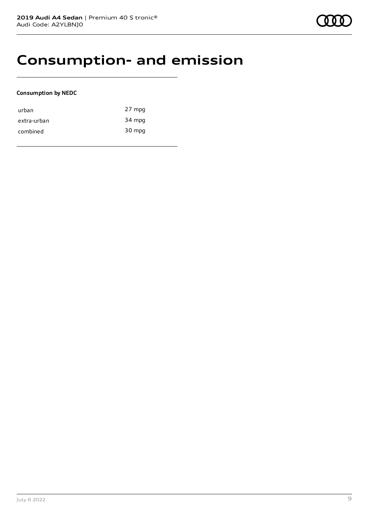### **Consumption- and emission**

### **Consumption by NEDC**

| urban       | 27 mpg |
|-------------|--------|
| extra-urban | 34 mpg |
| combined    | 30 mpg |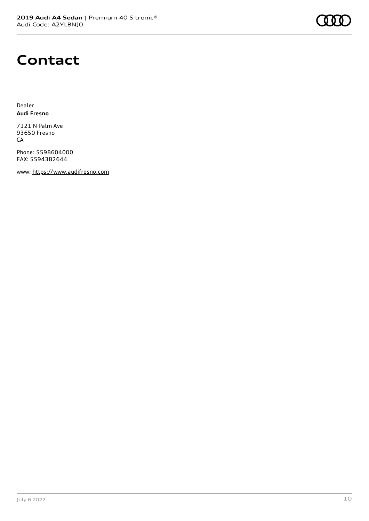

### **Contact**

Dealer **Audi Fresno**

7121 N Palm Ave 93650 Fresno CA

Phone: 5598604000 FAX: 5594382644

www: [https://www.audifresno.com](https://www.audifresno.com/)